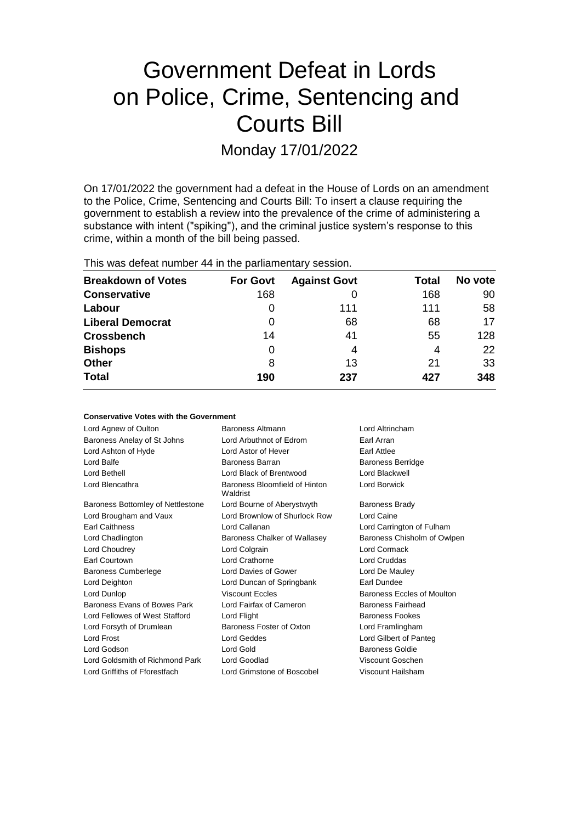# Government Defeat in Lords on Police, Crime, Sentencing and Courts Bill

Monday 17/01/2022

On 17/01/2022 the government had a defeat in the House of Lords on an amendment to the Police, Crime, Sentencing and Courts Bill: To insert a clause requiring the government to establish a review into the prevalence of the crime of administering a substance with intent ("spiking"), and the criminal justice system's response to this crime, within a month of the bill being passed.

This was defeat number 44 in the parliamentary session.

| <b>Breakdown of Votes</b> | <b>For Govt</b> | <b>Against Govt</b> | Total | No vote |
|---------------------------|-----------------|---------------------|-------|---------|
| <b>Conservative</b>       | 168             |                     | 168   | 90      |
| Labour                    | O               | 111                 | 111   | 58      |
| <b>Liberal Democrat</b>   | 0               | 68                  | 68    | 17      |
| <b>Crossbench</b>         | 14              | 41                  | 55    | 128     |
| <b>Bishops</b>            | 0               | 4                   | 4     | 22      |
| <b>Other</b>              | 8               | 13                  | 21    | 33      |
| <b>Total</b>              | 190             | 237                 | 427   | 348     |

| <b>Conservative Votes with the Government</b> |                                           |                             |  |  |  |
|-----------------------------------------------|-------------------------------------------|-----------------------------|--|--|--|
| Lord Agnew of Oulton                          | Baroness Altmann                          | Lord Altrincham             |  |  |  |
| Baroness Anelay of St Johns                   | Lord Arbuthnot of Edrom                   | Earl Arran                  |  |  |  |
| Lord Ashton of Hyde                           | Lord Astor of Hever                       | <b>Earl Attlee</b>          |  |  |  |
| Lord Balfe                                    | Baroness Barran                           | <b>Baroness Berridge</b>    |  |  |  |
| Lord Bethell                                  | Lord Black of Brentwood                   | Lord Blackwell              |  |  |  |
| Lord Blencathra                               | Baroness Bloomfield of Hinton<br>Waldrist | Lord Borwick                |  |  |  |
| Baroness Bottomley of Nettlestone             | Lord Bourne of Aberystwyth                | <b>Baroness Brady</b>       |  |  |  |
| Lord Brougham and Vaux                        | Lord Brownlow of Shurlock Row             | Lord Caine                  |  |  |  |
| Earl Caithness                                | Lord Callanan                             | Lord Carrington of Fulham   |  |  |  |
| Lord Chadlington                              | Baroness Chalker of Wallasey              | Baroness Chisholm of Owlpen |  |  |  |
| Lord Choudrey                                 | Lord Colgrain                             | Lord Cormack                |  |  |  |
| Earl Courtown                                 | Lord Crathorne                            | Lord Cruddas                |  |  |  |
| <b>Baroness Cumberlege</b>                    | Lord Davies of Gower                      | Lord De Mauley              |  |  |  |
| Lord Deighton                                 | Lord Duncan of Springbank                 | Earl Dundee                 |  |  |  |
| Lord Dunlop                                   | <b>Viscount Eccles</b>                    | Baroness Eccles of Moulton  |  |  |  |
| Baroness Evans of Bowes Park                  | Lord Fairfax of Cameron                   | <b>Baroness Fairhead</b>    |  |  |  |
| Lord Fellowes of West Stafford                | Lord Flight                               | <b>Baroness Fookes</b>      |  |  |  |
| Lord Forsyth of Drumlean                      | Baroness Foster of Oxton                  | Lord Framlingham            |  |  |  |
| Lord Frost                                    | Lord Geddes                               | Lord Gilbert of Panteg      |  |  |  |
| Lord Godson                                   | Lord Gold                                 | Baroness Goldie             |  |  |  |
| Lord Goldsmith of Richmond Park               | Lord Goodlad                              | Viscount Goschen            |  |  |  |
| Lord Griffiths of Fforestfach                 | Lord Grimstone of Boscobel                | Viscount Hailsham           |  |  |  |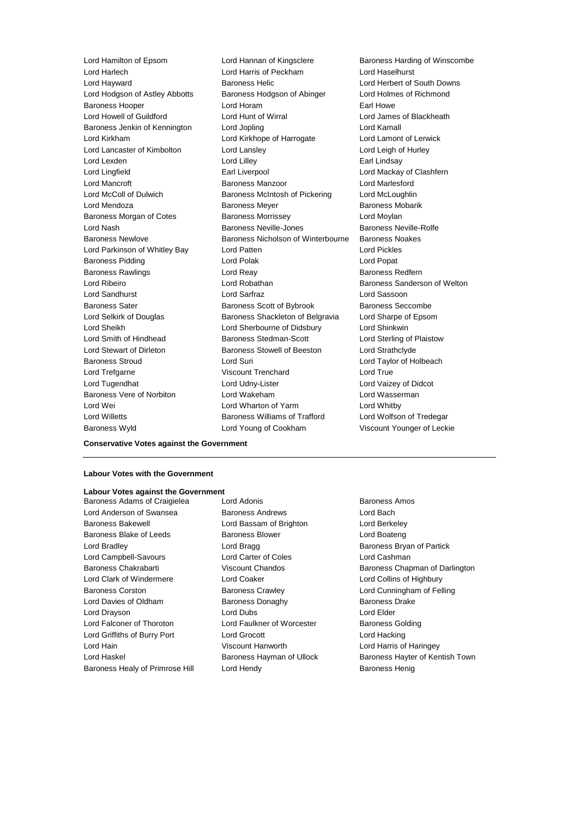Lord Hamilton of Epsom Lord Hannan of Kingsclere Baroness Harding of Winscombe Lord Harlech Lord Harris of Peckham Lord Haselhurst Lord Hayward Baroness Helic Lord Herbert of South Downs Lord Hodgson of Astley Abbotts Baroness Hodgson of Abinger Lord Holmes of Richmond Baroness Hooper **Lord Horam Earl Howe** Earl Howe Lord Howell of Guildford Lord Hunt of Wirral Lord James of Blackheath Baroness Jenkin of Kennington Lord Jopling Lord Kamall Lord Kirkham Lord Kirkhope of Harrogate Lord Lamont of Lerwick Lord Lancaster of Kimbolton Lord Lansley Lord Let a Lord Leigh of Hurley Lord Lexden **Lord Lindsay** Lord Lilley **Communist Communist Communist Communist Communist Communist Communist Communist Communist Communist Communist Communist Communist Communist Communist Communist Communist Communist Co** Lord Lingfield **Earl Liverpool** Earl Liverpool **Earl Lord Mackay of Clashfern** Lord Mancroft **Baroness Manzoor** Lord Marlesford Lord McColl of Dulwich Baroness McIntosh of Pickering Lord McLoughlin Lord Mendoza **Baroness Meyer** Baroness Meyer Baroness Mobarik Baroness Morgan of Cotes **Baroness Morrissey** Lord Moylan Lord Nash **Baroness Neville-Jones** Baroness Neville-Rolfe Baroness Newlove Baroness Nicholson of Winterbourne Baroness Noakes Lord Parkinson of Whitley Bay Lord Patten Lord Pickles Baroness Pidding Lord Polak Lord Popat Baroness Rawlings **Baroness Realists** Lord Reay **Baroness Redfern** Lord Ribeiro **Lord Robathan** Baroness Sanderson of Welton Lord Sandhurst Lord Sarfraz Lord Sassoon Baroness Sater Baroness Scott of Bybrook Baroness Seccombe Lord Selkirk of Douglas Baroness Shackleton of Belgravia Lord Sharpe of Epsom Lord Sheikh Lord Sherbourne of Didsbury Lord Shinkwin Lord Smith of Hindhead Baroness Stedman-Scott Lord Sterling of Plaistow Lord Stewart of Dirleton Baroness Stowell of Beeston Lord Strathclyde Baroness Stroud Lord Suri Lord Taylor of Holbeach Lord Trefgarne **Viscount Trenchard** Lord True Lord Tugendhat Lord Udny-Lister Lord Vaizey of Didcot Baroness Vere of Norbiton Lord Wakeham Lord Wasserman Lord Wei **Lord Wharton of Yarm** Cord Whatby Lord Whitby Lord Willetts **Baroness Williams of Trafford** Lord Wolfson of Tredegar Baroness Wyld Lord Young of Cookham Viscount Younger of Leckie

#### **Conservative Votes against the Government**

#### **Labour Votes with the Government**

#### **Labour Votes against the Government**

Lord Anderson of Swansea Baroness Andrews Lord Bach Baroness Bakewell Lord Bassam of Brighton Lord Berkeley Baroness Blake of Leeds **Baroness Blower** Baroness Blower **Lord Boateng** Lord Bradley **Lord Bragg Community** Lord Bragg Baroness Bryan of Partick Lord Campbell-Savours Lord Carter of Coles Lord Cashman Baroness Chakrabarti **Viscount Chandos** Baroness Chapman of Darlington Lord Clark of Windermere Lord Coaker Lord Collins of Highbury Baroness Corston Baroness Crawley Lord Cunningham of Felling Lord Davies of Oldham Baroness Donaghy Baroness Davies Baroness Drake Lord Drayson Lord Dubs Lord Elder Lord Falconer of Thoroton Lord Faulkner of Worcester Baroness Golding Lord Griffiths of Burry Port Lord Grocott Lord Hacking Lord Hain Viscount Hanworth Lord Harris of Haringey Lord Haskel **Baroness Hayman of Ullock** Baroness Hayter of Kentish Town Baroness Healy of Primrose Hill Lord Hendy **Baroness Henig** Baroness Henig

Baroness Adams of Craigielea Lord Adonis Communication Baroness Amos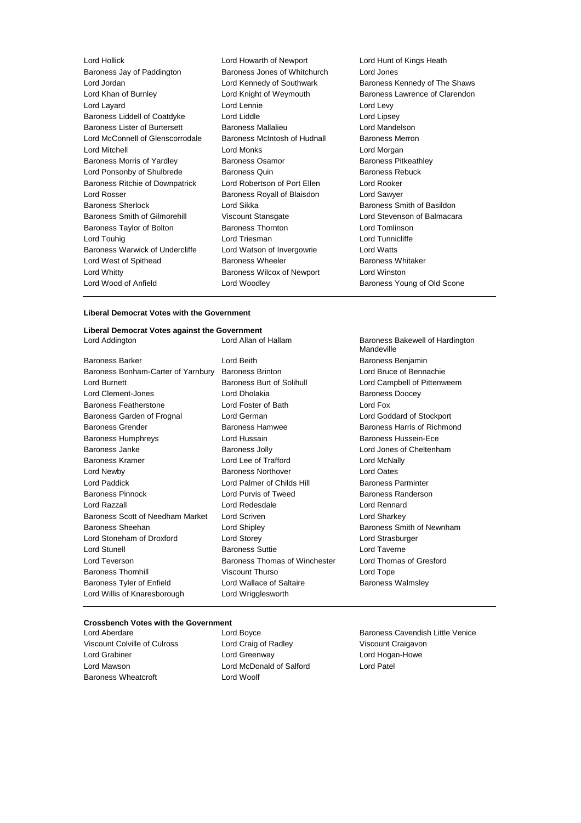| Lord Hollick                           | Lord Howarth of Newport      | Lord Hunt o        |
|----------------------------------------|------------------------------|--------------------|
| Baroness Jay of Paddington             | Baroness Jones of Whitchurch | Lord Jones         |
| Lord Jordan                            | Lord Kennedy of Southwark    | <b>Baroness K</b>  |
| Lord Khan of Burnley                   | Lord Knight of Weymouth      | Baroness L         |
| Lord Layard                            | Lord Lennie                  | Lord Levy          |
| Baroness Liddell of Coatdyke           | Lord Liddle                  | Lord Lipsey        |
| <b>Baroness Lister of Burtersett</b>   | <b>Baroness Mallalieu</b>    | Lord Mande         |
| Lord McConnell of Glenscorrodale       | Baroness McIntosh of Hudnall | Baroness M         |
| Lord Mitchell                          | <b>Lord Monks</b>            | Lord Morga         |
| Baroness Morris of Yardley             | <b>Baroness Osamor</b>       | <b>Baroness P</b>  |
| Lord Ponsonby of Shulbrede             | <b>Baroness Quin</b>         | <b>Baroness R</b>  |
| <b>Baroness Ritchie of Downpatrick</b> | Lord Robertson of Port Ellen | Lord Rooke         |
| Lord Rosser                            | Baroness Royall of Blaisdon  | Lord Sawye         |
| <b>Baroness Sherlock</b>               | Lord Sikka                   | <b>Baroness S</b>  |
| Baroness Smith of Gilmorehill          | <b>Viscount Stansgate</b>    | <b>Lord Stever</b> |
| Baroness Taylor of Bolton              | <b>Baroness Thornton</b>     | Lord Tomlir        |
| Lord Touhig                            | Lord Triesman                | Lord Tunnic        |
| Baroness Warwick of Undercliffe        | Lord Watson of Invergowrie   | Lord Watts         |
| Lord West of Spithead                  | <b>Baroness Wheeler</b>      | Baroness W         |
| Lord Whitty                            | Baroness Wilcox of Newport   | Lord Winsto        |
| Lord Wood of Anfield                   | Lord Woodley                 | <b>Baroness Y</b>  |
|                                        |                              |                    |

Lord Hunt of Kings Heath Baroness Kennedy of The Shaws Baroness Lawrence of Clarendon Lord Levy Lord Lipsey Lord Mandelson all Baroness Merron Lord Morgan Baroness Pitkeathley Baroness Rebuck Lord Rooker Lord Sawyer Baroness Smith of Basildon Lord Stevenson of Balmacara Lord Tomlinson Lord Tunnicliffe Lord Watts Baroness Whitaker t **Lord Winston** Baroness Young of Old Scone

#### **Liberal Democrat Votes with the Government**

# **Liberal Democrat Votes against the Government**

Baroness Barker **Communist Communist Communist Communist Communist Communist Communist Communist Communist Communist Communist Communist Communist Communist Communist Communist Communist Communist Communist Communist Commu** Baroness Bonham-Carter of Yarnbury Baroness Brinton Lord Bruce of Bennachie Lord Burnett **Baroness Burt of Solihull** Lord Campbell of Pittenweem Lord Clement-Jones **Lord Dholakia Lord Dholakia** Baroness Doocey Baroness Featherstone Lord Foster of Bath Lord Fox Baroness Garden of Frognal Lord German Lord Goddard of Stockport Baroness Grender Baroness Hamwee Baroness Harris of Richmond Baroness Humphreys **Exercise Exercise Exercise Contracts** Baroness Hussein-Ece Baroness Janke **Baroness Jolly Baroness Jolly Lord Jones of Cheltenham** Baroness Kramer Lord Lee of Trafford Lord McNally Lord Newby Baroness Northover Lord Oates Lord Paddick Lord Palmer of Childs Hill Baroness Parminter Baroness Pinnock **Lord Purvis of Tweed** Baroness Randerson Lord Razzall Lord Redesdale Lord Rennard Baroness Scott of Needham Market Lord Scriven Lord Sharkey Lord Sharkey Baroness Sheehan **Baroness** Sheehan Lord Shipley **Baroness Smith of Newnham** Lord Stoneham of Droxford Lord Storey Lord Strasburger Lord Stunell Baroness Suttie Lord Taverne Lord Teverson **Baroness Thomas of Winchester** Lord Thomas of Gresford Baroness Thornhill Viscount Thurso Lord Tope Baroness Tyler of Enfield **Lord Wallace of Saltaire** Baroness Walmsley Lord Willis of Knaresborough Lord Wrigglesworth

Baroness Bakewell of Hardington Mandeville

#### **Crossbench Votes with the Government**

Baroness Wheatcroft **Lord Woolf** 

Viscount Colville of Culross Lord Craig of Radley Viscount Craigavon Lord Grabiner Lord Greenway Lord Hogan-Howe Lord Mawson Lord McDonald of Salford Lord Patel

Lord Aberdare Lord Boyce Baroness Cavendish Little Venice